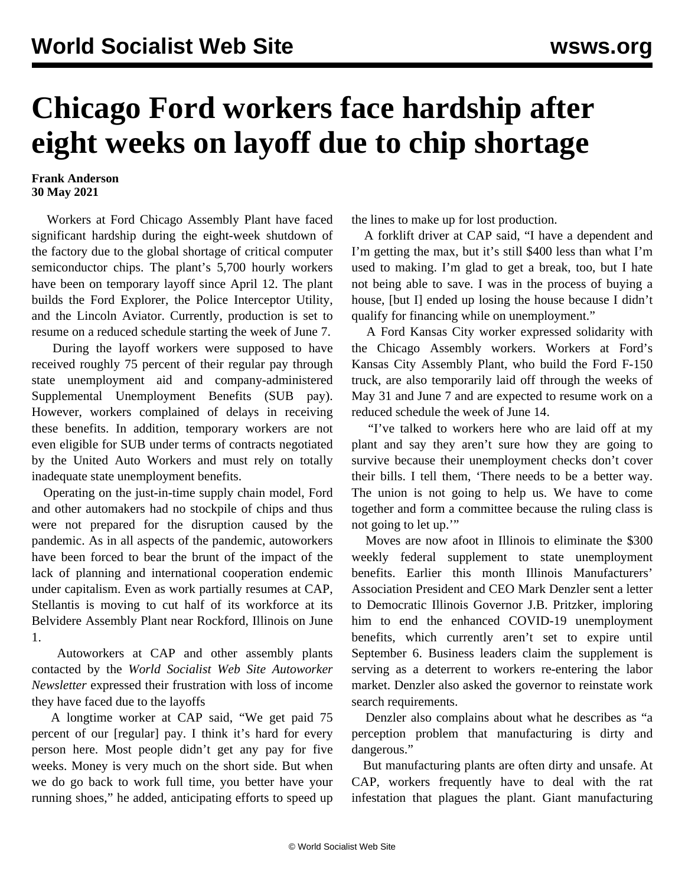## **Chicago Ford workers face hardship after eight weeks on layoff due to chip shortage**

## **Frank Anderson 30 May 2021**

 Workers at Ford Chicago Assembly Plant have faced significant hardship during the eight-week shutdown of the factory due to the global shortage of critical computer semiconductor chips. The plant's 5,700 hourly workers have been on temporary layoff since April 12. The plant builds the Ford Explorer, the Police Interceptor Utility, and the Lincoln Aviator. Currently, production is set to resume on a reduced schedule starting the week of June 7.

 During the layoff workers were supposed to have received roughly 75 percent of their regular pay through state unemployment aid and company-administered Supplemental Unemployment Benefits (SUB pay). However, workers complained of delays in receiving these benefits. In addition, temporary workers are not even eligible for SUB under terms of contracts negotiated by the United Auto Workers and must rely on totally inadequate state unemployment benefits.

 Operating on the just-in-time supply chain model, Ford and other automakers had no stockpile of chips and thus were not prepared for the disruption caused by the pandemic. As in all aspects of the pandemic, autoworkers have been forced to bear the brunt of the impact of the lack of planning and international cooperation endemic under capitalism. Even as work partially resumes at CAP, Stellantis is moving to [cut half of its workforce](/en/articles/2021/05/29/stbl-m29.html) at its Belvidere Assembly Plant near Rockford, Illinois on June 1.

 Autoworkers at CAP and other assembly plants contacted by the *World Socialist Web Site Autoworker Newsletter* expressed their frustration with loss of income they have faced due to the layoffs

 A longtime worker at CAP said, "We get paid 75 percent of our [regular] pay. I think it's hard for every person here. Most people didn't get any pay for five weeks. Money is very much on the short side. But when we do go back to work full time, you better have your running shoes," he added, anticipating efforts to speed up

the lines to make up for lost production.

 A forklift driver at CAP said, "I have a dependent and I'm getting the max, but it's still \$400 less than what I'm used to making. I'm glad to get a break, too, but I hate not being able to save. I was in the process of buying a house, [but I] ended up losing the house because I didn't qualify for financing while on unemployment."

 A Ford Kansas City worker expressed solidarity with the Chicago Assembly workers. Workers at Ford's Kansas City Assembly Plant, who build the Ford F-150 truck, are also temporarily laid off through the weeks of May 31 and June 7 and are expected to resume work on a reduced schedule the week of June 14.

 "I've talked to workers here who are laid off at my plant and say they aren't sure how they are going to survive because their unemployment checks don't cover their bills. I tell them, 'There needs to be a better way. The union is not going to help us. We have to come together and form a committee because the ruling class is not going to let up.'"

 Moves are now afoot in Illinois to eliminate the \$300 weekly federal supplement to state unemployment benefits. Earlier this month Illinois Manufacturers' Association President and CEO Mark Denzler sent a letter to Democratic Illinois Governor J.B. Pritzker, imploring him to end the enhanced COVID-19 unemployment benefits, which currently aren't set to expire until September 6. Business leaders claim the supplement is serving as a deterrent to workers re-entering the labor market. Denzler also asked the governor to reinstate work search requirements.

 Denzler also complains about what he describes as "a perception problem that manufacturing is dirty and dangerous."

 But manufacturing plants are often dirty and unsafe. At CAP, workers frequently have to deal with [the rat](/en/articles/2019/07/19/chic-j19.html) [infestation](/en/articles/2019/07/19/chic-j19.html) that plagues the plant. Giant manufacturing